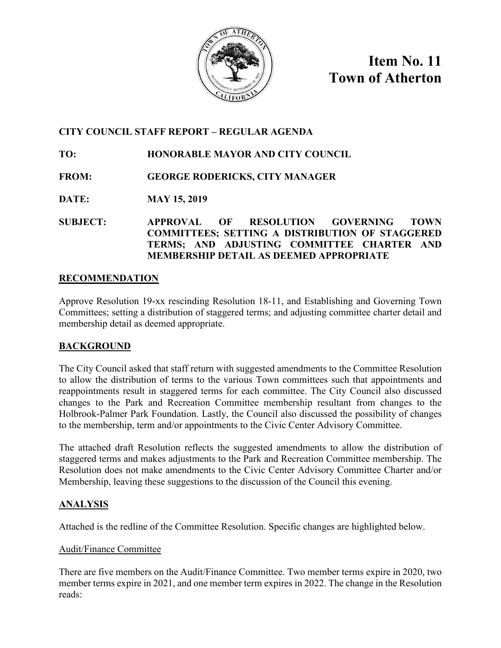

**Item No. 11 Town of Atherton**

# **CITY COUNCIL STAFF REPORT – REGULAR AGENDA**

**TO: HONORABLE MAYOR AND CITY COUNCIL**

**FROM: GEORGE RODERICKS, CITY MANAGER**

**DATE: MAY 15, 2019**

**SUBJECT: APPROVAL OF RESOLUTION GOVERNING TOWN COMMITTEES; SETTING A DISTRIBUTION OF STAGGERED TERMS; AND ADJUSTING COMMITTEE CHARTER AND MEMBERSHIP DETAIL AS DEEMED APPROPRIATE**

# **RECOMMENDATION**

Approve Resolution 19-xx rescinding Resolution 18-11, and Establishing and Governing Town Committees; setting a distribution of staggered terms; and adjusting committee charter detail and membership detail as deemed appropriate.

# **BACKGROUND**

The City Council asked that staff return with suggested amendments to the Committee Resolution to allow the distribution of terms to the various Town committees such that appointments and reappointments result in staggered terms for each committee. The City Council also discussed changes to the Park and Recreation Committee membership resultant from changes to the Holbrook-Palmer Park Foundation. Lastly, the Council also discussed the possibility of changes to the membership, term and/or appointments to the Civic Center Advisory Committee.

The attached draft Resolution reflects the suggested amendments to allow the distribution of staggered terms and makes adjustments to the Park and Recreation Committee membership. The Resolution does not make amendments to the Civic Center Advisory Committee Charter and/or Membership, leaving these suggestions to the discussion of the Council this evening.

# **ANALYSIS**

Attached is the redline of the Committee Resolution. Specific changes are highlighted below.

# Audit/Finance Committee

There are five members on the Audit/Finance Committee. Two member terms expire in 2020, two member terms expire in 2021, and one member term expires in 2022. The change in the Resolution reads: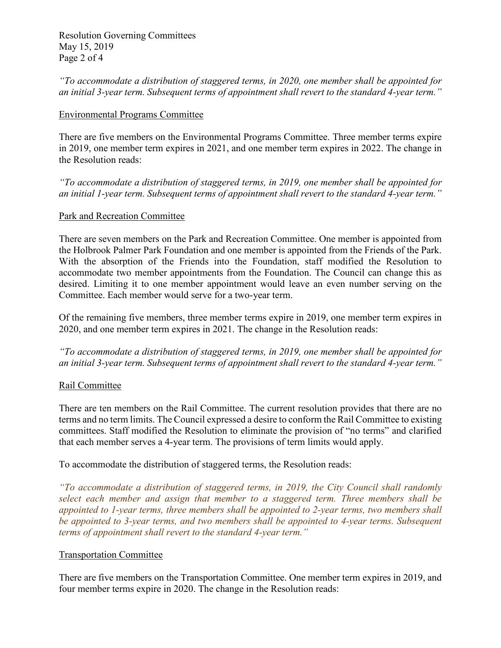Resolution Governing Committees May 15, 2019 Page 2 of 4

*"To accommodate a distribution of staggered terms, in 2020, one member shall be appointed for an initial 3-year term. Subsequent terms of appointment shall revert to the standard 4-year term."* 

### Environmental Programs Committee

There are five members on the Environmental Programs Committee. Three member terms expire in 2019, one member term expires in 2021, and one member term expires in 2022. The change in the Resolution reads:

*"To accommodate a distribution of staggered terms, in 2019, one member shall be appointed for an initial 1-year term. Subsequent terms of appointment shall revert to the standard 4-year term."* 

#### Park and Recreation Committee

There are seven members on the Park and Recreation Committee. One member is appointed from the Holbrook Palmer Park Foundation and one member is appointed from the Friends of the Park. With the absorption of the Friends into the Foundation, staff modified the Resolution to accommodate two member appointments from the Foundation. The Council can change this as desired. Limiting it to one member appointment would leave an even number serving on the Committee. Each member would serve for a two-year term.

Of the remaining five members, three member terms expire in 2019, one member term expires in 2020, and one member term expires in 2021. The change in the Resolution reads:

*"To accommodate a distribution of staggered terms, in 2019, one member shall be appointed for an initial 3-year term. Subsequent terms of appointment shall revert to the standard 4-year term."*

#### Rail Committee

There are ten members on the Rail Committee. The current resolution provides that there are no terms and no term limits. The Council expressed a desire to conform the Rail Committee to existing committees. Staff modified the Resolution to eliminate the provision of "no terms" and clarified that each member serves a 4-year term. The provisions of term limits would apply.

To accommodate the distribution of staggered terms, the Resolution reads:

*"To accommodate a distribution of staggered terms, in 2019, the City Council shall randomly select each member and assign that member to a staggered term. Three members shall be appointed to 1-year terms, three members shall be appointed to 2-year terms, two members shall be appointed to 3-year terms, and two members shall be appointed to 4-year terms. Subsequent terms of appointment shall revert to the standard 4-year term."* 

#### Transportation Committee

There are five members on the Transportation Committee. One member term expires in 2019, and four member terms expire in 2020. The change in the Resolution reads: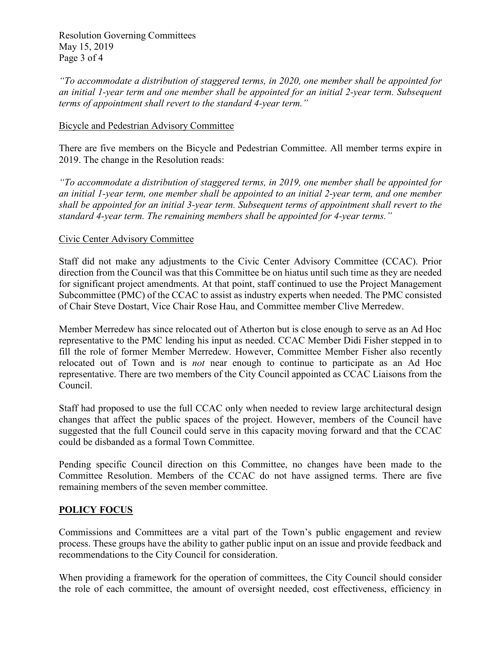Resolution Governing Committees May 15, 2019 Page 3 of 4

*"To accommodate a distribution of staggered terms, in 2020, one member shall be appointed for an initial 1-year term and one member shall be appointed for an initial 2-year term. Subsequent terms of appointment shall revert to the standard 4-year term."* 

### Bicycle and Pedestrian Advisory Committee

There are five members on the Bicycle and Pedestrian Committee. All member terms expire in 2019. The change in the Resolution reads:

*"To accommodate a distribution of staggered terms, in 2019, one member shall be appointed for an initial 1-year term, one member shall be appointed to an initial 2-year term, and one member shall be appointed for an initial 3-year term. Subsequent terms of appointment shall revert to the standard 4-year term. The remaining members shall be appointed for 4-year terms."*

### Civic Center Advisory Committee

Staff did not make any adjustments to the Civic Center Advisory Committee (CCAC). Prior direction from the Council was that this Committee be on hiatus until such time as they are needed for significant project amendments. At that point, staff continued to use the Project Management Subcommittee (PMC) of the CCAC to assist as industry experts when needed. The PMC consisted of Chair Steve Dostart, Vice Chair Rose Hau, and Committee member Clive Merredew.

Member Merredew has since relocated out of Atherton but is close enough to serve as an Ad Hoc representative to the PMC lending his input as needed. CCAC Member Didi Fisher stepped in to fill the role of former Member Merredew. However, Committee Member Fisher also recently relocated out of Town and is *not* near enough to continue to participate as an Ad Hoc representative. There are two members of the City Council appointed as CCAC Liaisons from the Council.

Staff had proposed to use the full CCAC only when needed to review large architectural design changes that affect the public spaces of the project. However, members of the Council have suggested that the full Council could serve in this capacity moving forward and that the CCAC could be disbanded as a formal Town Committee.

Pending specific Council direction on this Committee, no changes have been made to the Committee Resolution. Members of the CCAC do not have assigned terms. There are five remaining members of the seven member committee.

## **POLICY FOCUS**

Commissions and Committees are a vital part of the Town's public engagement and review process. These groups have the ability to gather public input on an issue and provide feedback and recommendations to the City Council for consideration.

When providing a framework for the operation of committees, the City Council should consider the role of each committee, the amount of oversight needed, cost effectiveness, efficiency in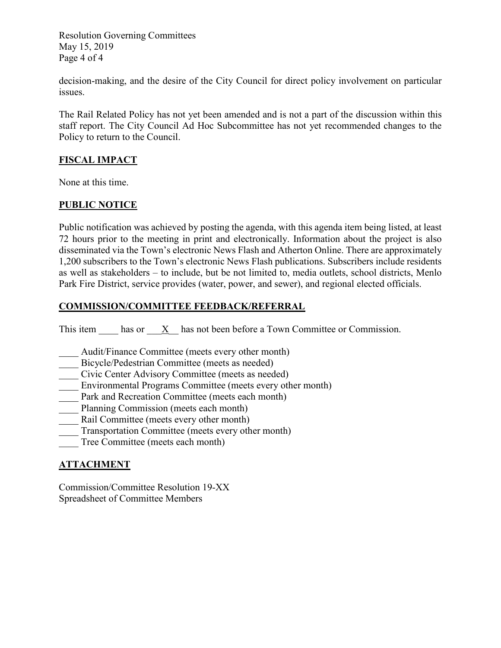Resolution Governing Committees May 15, 2019 Page 4 of 4

decision-making, and the desire of the City Council for direct policy involvement on particular issues.

The Rail Related Policy has not yet been amended and is not a part of the discussion within this staff report. The City Council Ad Hoc Subcommittee has not yet recommended changes to the Policy to return to the Council.

## **FISCAL IMPACT**

None at this time.

# **PUBLIC NOTICE**

Public notification was achieved by posting the agenda, with this agenda item being listed, at least 72 hours prior to the meeting in print and electronically. Information about the project is also disseminated via the Town's electronic News Flash and Atherton Online. There are approximately 1,200 subscribers to the Town's electronic News Flash publications. Subscribers include residents as well as stakeholders – to include, but be not limited to, media outlets, school districts, Menlo Park Fire District, service provides (water, power, and sewer), and regional elected officials.

## **COMMISSION/COMMITTEE FEEDBACK/REFERRAL**

This item has or X has not been before a Town Committee or Commission.

- Audit/Finance Committee (meets every other month)
- Bicycle/Pedestrian Committee (meets as needed)
- \_\_\_\_ Civic Center Advisory Committee (meets as needed)
- Environmental Programs Committee (meets every other month)
- Park and Recreation Committee (meets each month)
- Planning Commission (meets each month)
- Rail Committee (meets every other month)
- Transportation Committee (meets every other month)
- Tree Committee (meets each month)

## **ATTACHMENT**

Commission/Committee Resolution 19-XX Spreadsheet of Committee Members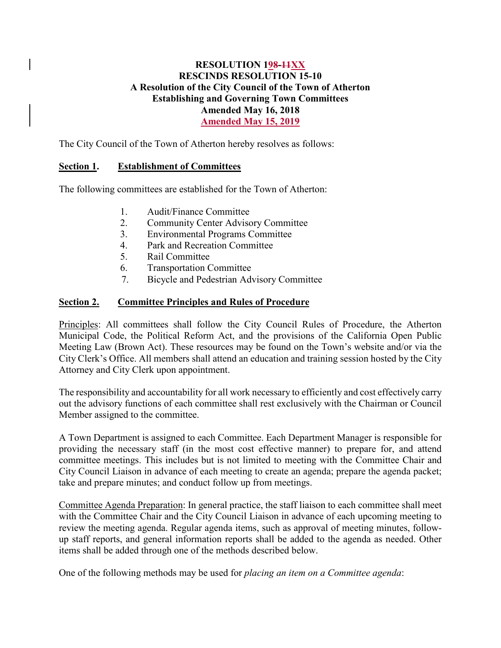# **RESOLUTION 198-11XX RESCINDS RESOLUTION 15-10 A Resolution of the City Council of the Town of Atherton Establishing and Governing Town Committees Amended May 16, 2018 Amended May 15, 2019**

The City Council of the Town of Atherton hereby resolves as follows:

# **Section 1. Establishment of Committees**

The following committees are established for the Town of Atherton:

- 1. Audit/Finance Committee
- 2. Community Center Advisory Committee
- 3. Environmental Programs Committee
- 4. Park and Recreation Committee
- 5. Rail Committee
- 6. Transportation Committee
- 7. Bicycle and Pedestrian Advisory Committee

# **Section 2. Committee Principles and Rules of Procedure**

Principles: All committees shall follow the City Council Rules of Procedure, the Atherton Municipal Code, the Political Reform Act, and the provisions of the California Open Public Meeting Law (Brown Act). These resources may be found on the Town's website and/or via the City Clerk's Office. All members shall attend an education and training session hosted by the City Attorney and City Clerk upon appointment.

The responsibility and accountability for all work necessary to efficiently and cost effectively carry out the advisory functions of each committee shall rest exclusively with the Chairman or Council Member assigned to the committee.

A Town Department is assigned to each Committee. Each Department Manager is responsible for providing the necessary staff (in the most cost effective manner) to prepare for, and attend committee meetings. This includes but is not limited to meeting with the Committee Chair and City Council Liaison in advance of each meeting to create an agenda; prepare the agenda packet; take and prepare minutes; and conduct follow up from meetings.

Committee Agenda Preparation: In general practice, the staff liaison to each committee shall meet with the Committee Chair and the City Council Liaison in advance of each upcoming meeting to review the meeting agenda. Regular agenda items, such as approval of meeting minutes, followup staff reports, and general information reports shall be added to the agenda as needed. Other items shall be added through one of the methods described below.

One of the following methods may be used for *placing an item on a Committee agenda*: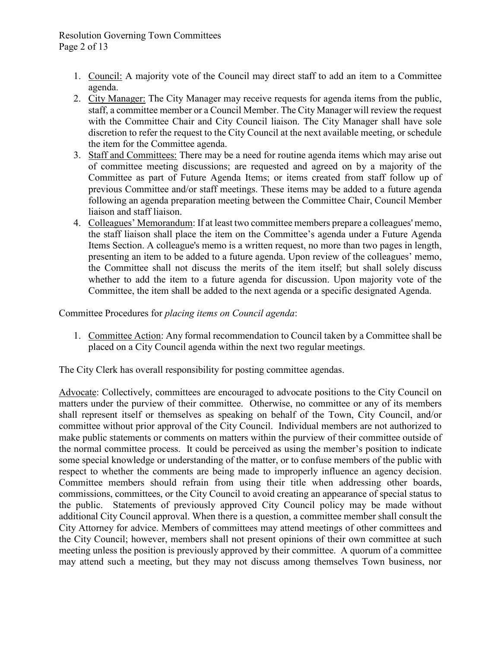## Resolution Governing Town Committees Page 2 of 13

- 1. Council: A majority vote of the Council may direct staff to add an item to a Committee agenda.
- 2. City Manager: The City Manager may receive requests for agenda items from the public, staff, a committee member or a Council Member. The City Manager will review the request with the Committee Chair and City Council liaison. The City Manager shall have sole discretion to refer the request to the City Council at the next available meeting, or schedule the item for the Committee agenda.
- 3. Staff and Committees: There may be a need for routine agenda items which may arise out of committee meeting discussions; are requested and agreed on by a majority of the Committee as part of Future Agenda Items; or items created from staff follow up of previous Committee and/or staff meetings. These items may be added to a future agenda following an agenda preparation meeting between the Committee Chair, Council Member liaison and staff liaison.
- 4. Colleagues' Memorandum: If at least two committee members prepare a colleagues' memo, the staff liaison shall place the item on the Committee's agenda under a Future Agenda Items Section. A colleague's memo is a written request, no more than two pages in length, presenting an item to be added to a future agenda. Upon review of the colleagues' memo, the Committee shall not discuss the merits of the item itself; but shall solely discuss whether to add the item to a future agenda for discussion. Upon majority vote of the Committee, the item shall be added to the next agenda or a specific designated Agenda.

Committee Procedures for *placing items on Council agenda*:

1. Committee Action: Any formal recommendation to Council taken by a Committee shall be placed on a City Council agenda within the next two regular meetings.

The City Clerk has overall responsibility for posting committee agendas.

Advocate: Collectively, committees are encouraged to advocate positions to the City Council on matters under the purview of their committee. Otherwise, no committee or any of its members shall represent itself or themselves as speaking on behalf of the Town, City Council, and/or committee without prior approval of the City Council. Individual members are not authorized to make public statements or comments on matters within the purview of their committee outside of the normal committee process. It could be perceived as using the member's position to indicate some special knowledge or understanding of the matter, or to confuse members of the public with respect to whether the comments are being made to improperly influence an agency decision. Committee members should refrain from using their title when addressing other boards, commissions, committees, or the City Council to avoid creating an appearance of special status to the public. Statements of previously approved City Council policy may be made without additional City Council approval. When there is a question, a committee member shall consult the City Attorney for advice. Members of committees may attend meetings of other committees and the City Council; however, members shall not present opinions of their own committee at such meeting unless the position is previously approved by their committee. A quorum of a committee may attend such a meeting, but they may not discuss among themselves Town business, nor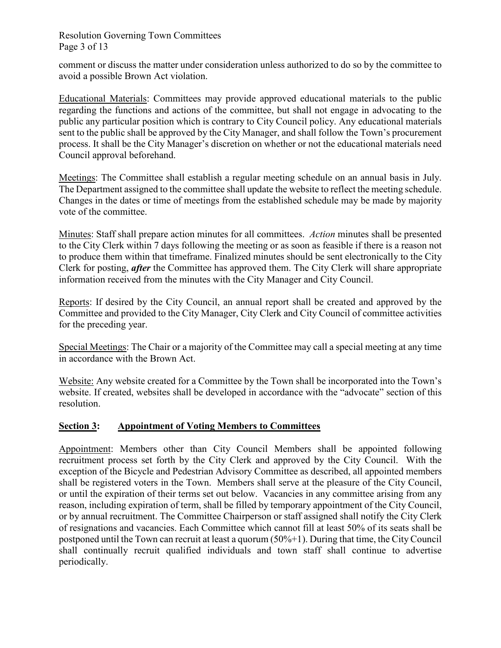Resolution Governing Town Committees Page 3 of 13

comment or discuss the matter under consideration unless authorized to do so by the committee to avoid a possible Brown Act violation.

Educational Materials: Committees may provide approved educational materials to the public regarding the functions and actions of the committee, but shall not engage in advocating to the public any particular position which is contrary to City Council policy. Any educational materials sent to the public shall be approved by the City Manager, and shall follow the Town's procurement process. It shall be the City Manager's discretion on whether or not the educational materials need Council approval beforehand.

Meetings: The Committee shall establish a regular meeting schedule on an annual basis in July. The Department assigned to the committee shall update the website to reflect the meeting schedule. Changes in the dates or time of meetings from the established schedule may be made by majority vote of the committee.

Minutes: Staff shall prepare action minutes for all committees. *Action* minutes shall be presented to the City Clerk within 7 days following the meeting or as soon as feasible if there is a reason not to produce them within that timeframe. Finalized minutes should be sent electronically to the City Clerk for posting, *after* the Committee has approved them. The City Clerk will share appropriate information received from the minutes with the City Manager and City Council.

Reports: If desired by the City Council, an annual report shall be created and approved by the Committee and provided to the City Manager, City Clerk and City Council of committee activities for the preceding year.

Special Meetings: The Chair or a majority of the Committee may call a special meeting at any time in accordance with the Brown Act.

Website: Any website created for a Committee by the Town shall be incorporated into the Town's website. If created, websites shall be developed in accordance with the "advocate" section of this resolution.

## **Section 3: Appointment of Voting Members to Committees**

Appointment: Members other than City Council Members shall be appointed following recruitment process set forth by the City Clerk and approved by the City Council. With the exception of the Bicycle and Pedestrian Advisory Committee as described, all appointed members shall be registered voters in the Town. Members shall serve at the pleasure of the City Council, or until the expiration of their terms set out below. Vacancies in any committee arising from any reason, including expiration of term, shall be filled by temporary appointment of the City Council, or by annual recruitment. The Committee Chairperson or staff assigned shall notify the City Clerk of resignations and vacancies. Each Committee which cannot fill at least 50% of its seats shall be postponed until the Town can recruit at least a quorum (50%+1). During that time, the City Council shall continually recruit qualified individuals and town staff shall continue to advertise periodically.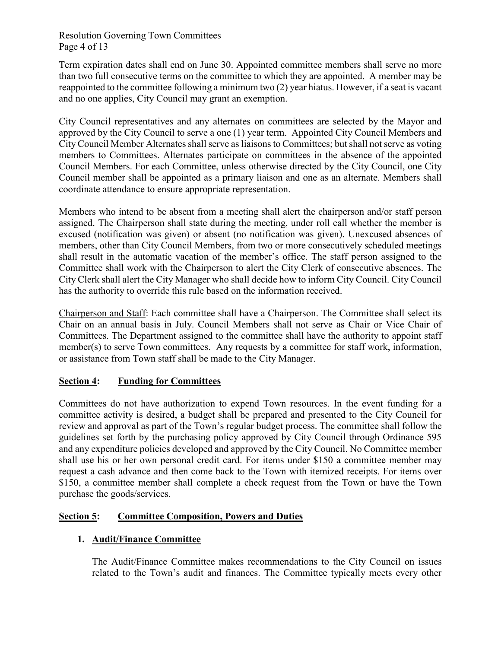Resolution Governing Town Committees Page 4 of 13

Term expiration dates shall end on June 30. Appointed committee members shall serve no more than two full consecutive terms on the committee to which they are appointed. A member may be reappointed to the committee following a minimum two (2) year hiatus. However, if a seat is vacant and no one applies, City Council may grant an exemption.

City Council representatives and any alternates on committees are selected by the Mayor and approved by the City Council to serve a one (1) year term. Appointed City Council Members and City Council Member Alternates shall serve as liaisons to Committees; but shall not serve as voting members to Committees. Alternates participate on committees in the absence of the appointed Council Members. For each Committee, unless otherwise directed by the City Council, one City Council member shall be appointed as a primary liaison and one as an alternate. Members shall coordinate attendance to ensure appropriate representation.

Members who intend to be absent from a meeting shall alert the chairperson and/or staff person assigned. The Chairperson shall state during the meeting, under roll call whether the member is excused (notification was given) or absent (no notification was given). Unexcused absences of members, other than City Council Members, from two or more consecutively scheduled meetings shall result in the automatic vacation of the member's office. The staff person assigned to the Committee shall work with the Chairperson to alert the City Clerk of consecutive absences. The City Clerk shall alert the City Manager who shall decide how to inform City Council. City Council has the authority to override this rule based on the information received.

Chairperson and Staff: Each committee shall have a Chairperson. The Committee shall select its Chair on an annual basis in July. Council Members shall not serve as Chair or Vice Chair of Committees. The Department assigned to the committee shall have the authority to appoint staff member(s) to serve Town committees. Any requests by a committee for staff work, information, or assistance from Town staff shall be made to the City Manager.

# **Section 4: Funding for Committees**

Committees do not have authorization to expend Town resources. In the event funding for a committee activity is desired, a budget shall be prepared and presented to the City Council for review and approval as part of the Town's regular budget process. The committee shall follow the guidelines set forth by the purchasing policy approved by City Council through Ordinance 595 and any expenditure policies developed and approved by the City Council. No Committee member shall use his or her own personal credit card. For items under \$150 a committee member may request a cash advance and then come back to the Town with itemized receipts. For items over \$150, a committee member shall complete a check request from the Town or have the Town purchase the goods/services.

# **Section 5: Committee Composition, Powers and Duties**

# **1. Audit/Finance Committee**

The Audit/Finance Committee makes recommendations to the City Council on issues related to the Town's audit and finances. The Committee typically meets every other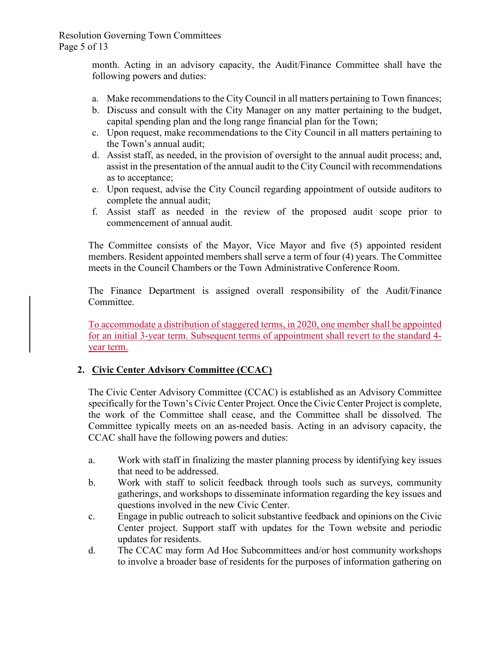Resolution Governing Town Committees Page 5 of 13

> month. Acting in an advisory capacity, the Audit/Finance Committee shall have the following powers and duties:

- a. Make recommendations to the City Council in all matters pertaining to Town finances;
- b. Discuss and consult with the City Manager on any matter pertaining to the budget, capital spending plan and the long range financial plan for the Town;
- c. Upon request, make recommendations to the City Council in all matters pertaining to the Town's annual audit;
- d. Assist staff, as needed, in the provision of oversight to the annual audit process; and, assist in the presentation of the annual audit to the City Council with recommendations as to acceptance;
- e. Upon request, advise the City Council regarding appointment of outside auditors to complete the annual audit;
- f. Assist staff as needed in the review of the proposed audit scope prior to commencement of annual audit.

The Committee consists of the Mayor, Vice Mayor and five (5) appointed resident members. Resident appointed members shall serve a term of four (4) years. The Committee meets in the Council Chambers or the Town Administrative Conference Room.

The Finance Department is assigned overall responsibility of the Audit/Finance Committee.

To accommodate a distribution of staggered terms, in 2020, one member shall be appointed for an initial 3-year term. Subsequent terms of appointment shall revert to the standard 4 year term.

# **2. Civic Center Advisory Committee (CCAC)**

The Civic Center Advisory Committee (CCAC) is established as an Advisory Committee specifically for the Town's Civic Center Project. Once the Civic Center Project is complete, the work of the Committee shall cease, and the Committee shall be dissolved. The Committee typically meets on an as-needed basis. Acting in an advisory capacity, the CCAC shall have the following powers and duties:

- a. Work with staff in finalizing the master planning process by identifying key issues that need to be addressed.
- b. Work with staff to solicit feedback through tools such as surveys, community gatherings, and workshops to disseminate information regarding the key issues and questions involved in the new Civic Center.
- c. Engage in public outreach to solicit substantive feedback and opinions on the Civic Center project. Support staff with updates for the Town website and periodic updates for residents.
- d. The CCAC may form Ad Hoc Subcommittees and/or host community workshops to involve a broader base of residents for the purposes of information gathering on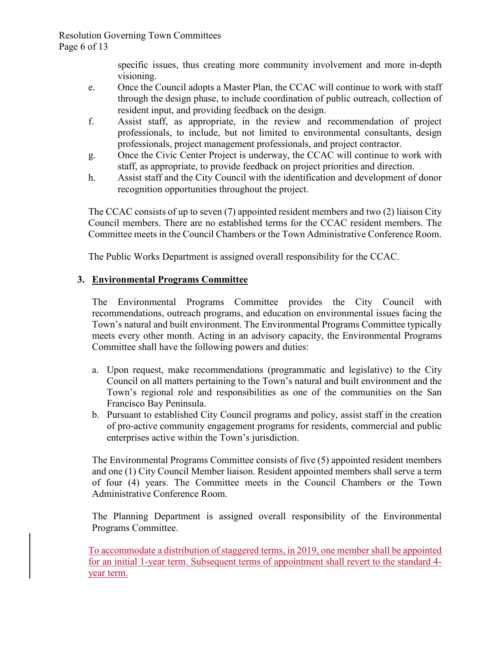Resolution Governing Town Committees Page 6 of 13

> specific issues, thus creating more community involvement and more in-depth visioning.

- e. Once the Council adopts a Master Plan, the CCAC will continue to work with staff through the design phase, to include coordination of public outreach, collection of resident input, and providing feedback on the design.
- f. Assist staff, as appropriate, in the review and recommendation of project professionals, to include, but not limited to environmental consultants, design professionals, project management professionals, and project contractor.
- g. Once the Civic Center Project is underway, the CCAC will continue to work with staff, as appropriate, to provide feedback on project priorities and direction.
- h. Assist staff and the City Council with the identification and development of donor recognition opportunities throughout the project.

The CCAC consists of up to seven (7) appointed resident members and two (2) liaison City Council members. There are no established terms for the CCAC resident members. The Committee meets in the Council Chambers or the Town Administrative Conference Room.

The Public Works Department is assigned overall responsibility for the CCAC.

# **3. Environmental Programs Committee**

The Environmental Programs Committee provides the City Council with recommendations, outreach programs, and education on environmental issues facing the Town's natural and built environment. The Environmental Programs Committee typically meets every other month. Acting in an advisory capacity, the Environmental Programs Committee shall have the following powers and duties:

- a. Upon request, make recommendations (programmatic and legislative) to the City Council on all matters pertaining to the Town's natural and built environment and the Town's regional role and responsibilities as one of the communities on the San Francisco Bay Peninsula.
- b. Pursuant to established City Council programs and policy, assist staff in the creation of pro-active community engagement programs for residents, commercial and public enterprises active within the Town's jurisdiction.

The Environmental Programs Committee consists of five (5) appointed resident members and one (1) City Council Member liaison. Resident appointed members shall serve a term of four (4) years. The Committee meets in the Council Chambers or the Town Administrative Conference Room.

The Planning Department is assigned overall responsibility of the Environmental Programs Committee.

To accommodate a distribution of staggered terms, in 2019, one member shall be appointed for an initial 1-year term. Subsequent terms of appointment shall revert to the standard 4 year term.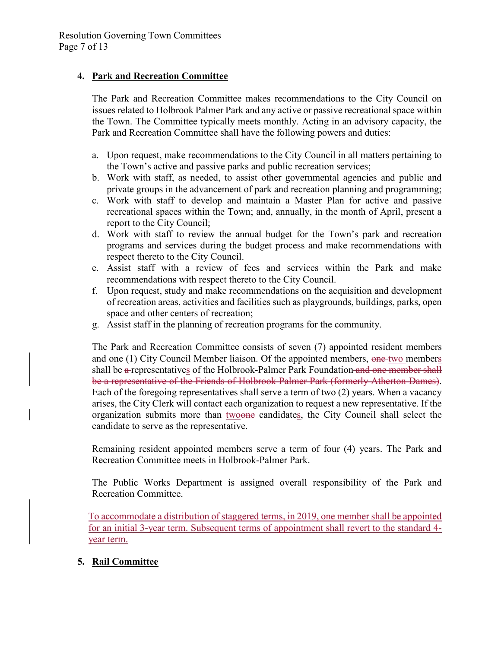# **4. Park and Recreation Committee**

The Park and Recreation Committee makes recommendations to the City Council on issues related to Holbrook Palmer Park and any active or passive recreational space within the Town. The Committee typically meets monthly. Acting in an advisory capacity, the Park and Recreation Committee shall have the following powers and duties:

- a. Upon request, make recommendations to the City Council in all matters pertaining to the Town's active and passive parks and public recreation services;
- b. Work with staff, as needed, to assist other governmental agencies and public and private groups in the advancement of park and recreation planning and programming;
- c. Work with staff to develop and maintain a Master Plan for active and passive recreational spaces within the Town; and, annually, in the month of April, present a report to the City Council;
- d. Work with staff to review the annual budget for the Town's park and recreation programs and services during the budget process and make recommendations with respect thereto to the City Council.
- e. Assist staff with a review of fees and services within the Park and make recommendations with respect thereto to the City Council.
- f. Upon request, study and make recommendations on the acquisition and development of recreation areas, activities and facilities such as playgrounds, buildings, parks, open space and other centers of recreation;
- g. Assist staff in the planning of recreation programs for the community.

The Park and Recreation Committee consists of seven (7) appointed resident members and one (1) City Council Member liaison. Of the appointed members, one two members shall be a-representatives of the Holbrook-Palmer Park Foundation and one member shall be a representative of the Friends of Holbrook Palmer Park (formerly Atherton Dames). Each of the foregoing representatives shall serve a term of two (2) years. When a vacancy arises, the City Clerk will contact each organization to request a new representative. If the organization submits more than twoone candidates, the City Council shall select the candidate to serve as the representative.

Remaining resident appointed members serve a term of four (4) years. The Park and Recreation Committee meets in Holbrook-Palmer Park.

The Public Works Department is assigned overall responsibility of the Park and Recreation Committee.

To accommodate a distribution of staggered terms, in 2019, one member shall be appointed for an initial 3-year term. Subsequent terms of appointment shall revert to the standard 4 year term.

## **5. Rail Committee**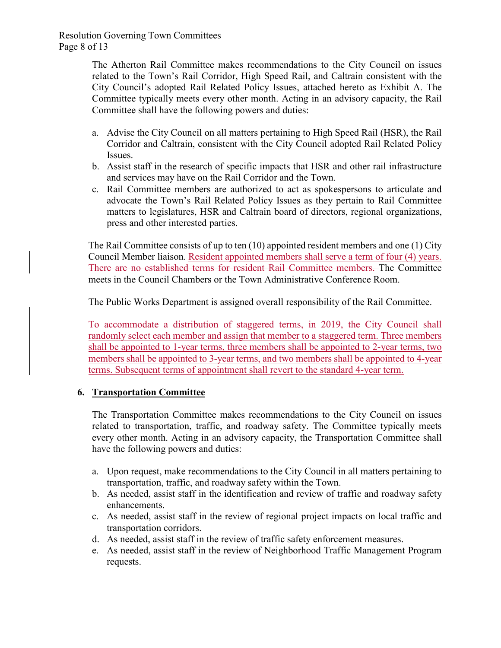Resolution Governing Town Committees Page 8 of 13

> The Atherton Rail Committee makes recommendations to the City Council on issues related to the Town's Rail Corridor, High Speed Rail, and Caltrain consistent with the City Council's adopted Rail Related Policy Issues, attached hereto as Exhibit A. The Committee typically meets every other month. Acting in an advisory capacity, the Rail Committee shall have the following powers and duties:

- a. Advise the City Council on all matters pertaining to High Speed Rail (HSR), the Rail Corridor and Caltrain, consistent with the City Council adopted Rail Related Policy Issues.
- b. Assist staff in the research of specific impacts that HSR and other rail infrastructure and services may have on the Rail Corridor and the Town.
- c. Rail Committee members are authorized to act as spokespersons to articulate and advocate the Town's Rail Related Policy Issues as they pertain to Rail Committee matters to legislatures, HSR and Caltrain board of directors, regional organizations, press and other interested parties.

The Rail Committee consists of up to ten (10) appointed resident members and one (1) City Council Member liaison. Resident appointed members shall serve a term of four (4) years. There are no established terms for resident Rail Committee members. The Committee meets in the Council Chambers or the Town Administrative Conference Room.

The Public Works Department is assigned overall responsibility of the Rail Committee.

To accommodate a distribution of staggered terms, in 2019, the City Council shall randomly select each member and assign that member to a staggered term. Three members shall be appointed to 1-year terms, three members shall be appointed to 2-year terms, two members shall be appointed to 3-year terms, and two members shall be appointed to 4-year terms. Subsequent terms of appointment shall revert to the standard 4-year term.

## **6. Transportation Committee**

The Transportation Committee makes recommendations to the City Council on issues related to transportation, traffic, and roadway safety. The Committee typically meets every other month. Acting in an advisory capacity, the Transportation Committee shall have the following powers and duties:

- a. Upon request, make recommendations to the City Council in all matters pertaining to transportation, traffic, and roadway safety within the Town.
- b. As needed, assist staff in the identification and review of traffic and roadway safety enhancements.
- c. As needed, assist staff in the review of regional project impacts on local traffic and transportation corridors.
- d. As needed, assist staff in the review of traffic safety enforcement measures.
- e. As needed, assist staff in the review of Neighborhood Traffic Management Program requests.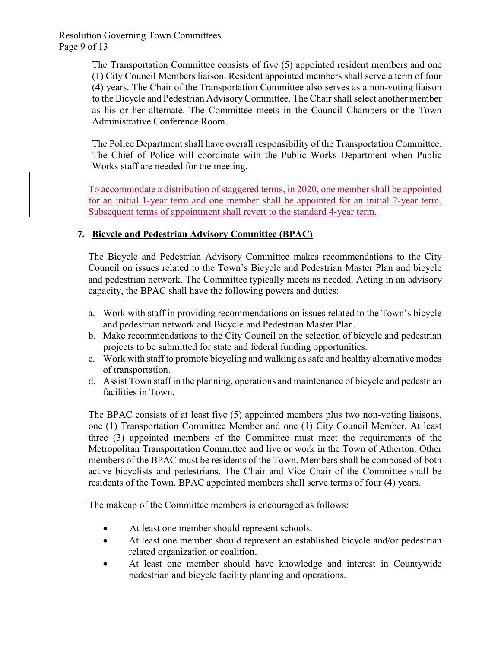Resolution Governing Town Committees Page 9 of 13

> The Transportation Committee consists of five (5) appointed resident members and one (1) City Council Members liaison. Resident appointed members shall serve a term of four (4) years. The Chair of the Transportation Committee also serves as a non-voting liaison to the Bicycle and Pedestrian Advisory Committee. The Chair shall select another member as his or her alternate. The Committee meets in the Council Chambers or the Town Administrative Conference Room.

> The Police Department shall have overall responsibility of the Transportation Committee. The Chief of Police will coordinate with the Public Works Department when Public Works staff are needed for the meeting.

> To accommodate a distribution of staggered terms, in 2020, one member shall be appointed for an initial 1-year term and one member shall be appointed for an initial 2-year term. Subsequent terms of appointment shall revert to the standard 4-year term.

# **7. Bicycle and Pedestrian Advisory Committee (BPAC)**

The Bicycle and Pedestrian Advisory Committee makes recommendations to the City Council on issues related to the Town's Bicycle and Pedestrian Master Plan and bicycle and pedestrian network. The Committee typically meets as needed. Acting in an advisory capacity, the BPAC shall have the following powers and duties:

- a. Work with staff in providing recommendations on issues related to the Town's bicycle and pedestrian network and Bicycle and Pedestrian Master Plan.
- b. Make recommendations to the City Council on the selection of bicycle and pedestrian projects to be submitted for state and federal funding opportunities.
- c. Work with staff to promote bicycling and walking as safe and healthy alternative modes of transportation.
- d. Assist Town staff in the planning, operations and maintenance of bicycle and pedestrian facilities in Town.

The BPAC consists of at least five (5) appointed members plus two non-voting liaisons, one (1) Transportation Committee Member and one (1) City Council Member. At least three (3) appointed members of the Committee must meet the requirements of the Metropolitan Transportation Committee and live or work in the Town of Atherton. Other members of the BPAC must be residents of the Town. Members shall be composed of both active bicyclists and pedestrians. The Chair and Vice Chair of the Committee shall be residents of the Town. BPAC appointed members shall serve terms of four (4) years.

The makeup of the Committee members is encouraged as follows:

- At least one member should represent schools.
- At least one member should represent an established bicycle and/or pedestrian related organization or coalition.
- At least one member should have knowledge and interest in Countywide pedestrian and bicycle facility planning and operations.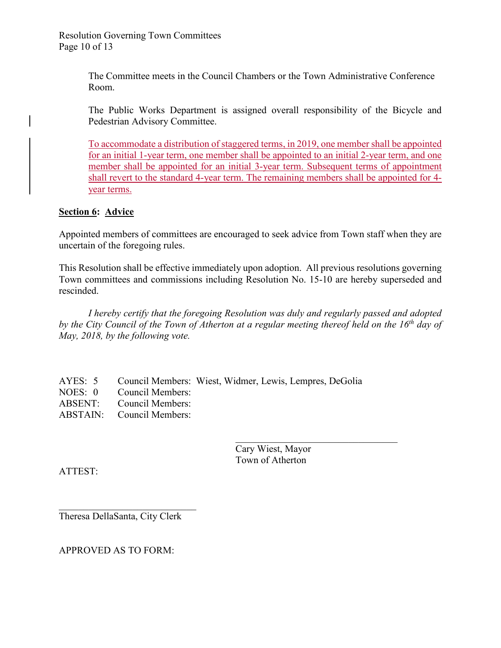Resolution Governing Town Committees Page 10 of 13

> The Committee meets in the Council Chambers or the Town Administrative Conference Room.

The Public Works Department is assigned overall responsibility of the Bicycle and Pedestrian Advisory Committee.

To accommodate a distribution of staggered terms, in 2019, one member shall be appointed for an initial 1-year term, one member shall be appointed to an initial 2-year term, and one member shall be appointed for an initial 3-year term. Subsequent terms of appointment shall revert to the standard 4-year term. The remaining members shall be appointed for 4 year terms.

### **Section 6: Advice**

Appointed members of committees are encouraged to seek advice from Town staff when they are uncertain of the foregoing rules.

This Resolution shall be effective immediately upon adoption. All previous resolutions governing Town committees and commissions including Resolution No. 15-10 are hereby superseded and rescinded.

*I hereby certify that the foregoing Resolution was duly and regularly passed and adopted by the City Council of the Town of Atherton at a regular meeting thereof held on the 16th day of May, 2018, by the following vote.*

AYES: 5 Council Members: Wiest, Widmer, Lewis, Lempres, DeGolia NOES: 0 Council Members: ABSENT: Council Members: ABSTAIN: Council Members:

| Cary Wiest, Mayor |  |
|-------------------|--|
| Town of Atherton  |  |

ATTEST:

\_\_\_\_\_\_\_\_\_\_\_\_\_\_\_\_\_\_\_\_\_\_\_\_\_\_\_\_ Theresa DellaSanta, City Clerk

APPROVED AS TO FORM: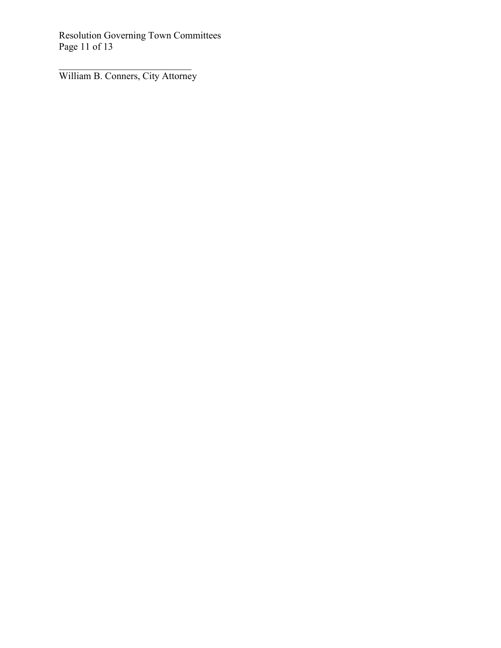Resolution Governing Town Committees Page 11 of 13

\_\_\_\_\_\_\_\_\_\_\_\_\_\_\_\_\_\_\_\_\_\_\_\_\_\_\_ William B. Conners, City Attorney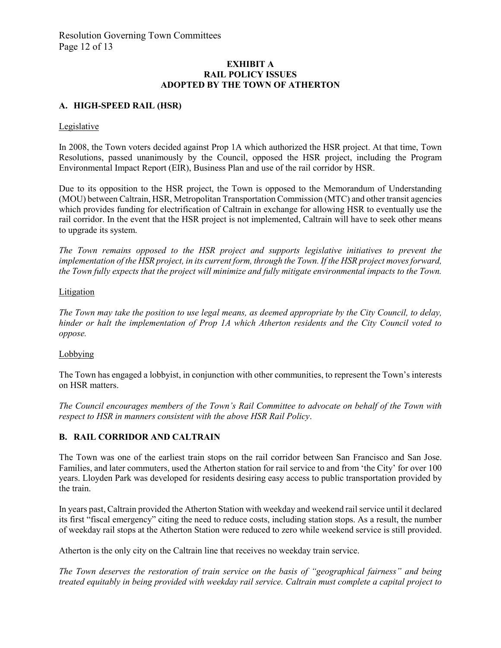#### **EXHIBIT A RAIL POLICY ISSUES ADOPTED BY THE TOWN OF ATHERTON**

#### **A. HIGH-SPEED RAIL (HSR)**

#### Legislative

In 2008, the Town voters decided against Prop 1A which authorized the HSR project. At that time, Town Resolutions, passed unanimously by the Council, opposed the HSR project, including the Program Environmental Impact Report (EIR), Business Plan and use of the rail corridor by HSR.

Due to its opposition to the HSR project, the Town is opposed to the Memorandum of Understanding (MOU) between Caltrain, HSR, Metropolitan Transportation Commission (MTC) and other transit agencies which provides funding for electrification of Caltrain in exchange for allowing HSR to eventually use the rail corridor. In the event that the HSR project is not implemented, Caltrain will have to seek other means to upgrade its system.

*The Town remains opposed to the HSR project and supports legislative initiatives to prevent the implementation of the HSR project, in its current form, through the Town. If the HSR project moves forward, the Town fully expects that the project will minimize and fully mitigate environmental impacts to the Town.*

#### **Litigation**

*The Town may take the position to use legal means, as deemed appropriate by the City Council, to delay, hinder or halt the implementation of Prop 1A which Atherton residents and the City Council voted to oppose.* 

#### Lobbying

The Town has engaged a lobbyist, in conjunction with other communities, to represent the Town's interests on HSR matters.

*The Council encourages members of the Town's Rail Committee to advocate on behalf of the Town with respect to HSR in manners consistent with the above HSR Rail Policy*.

#### **B. RAIL CORRIDOR AND CALTRAIN**

The Town was one of the earliest train stops on the rail corridor between San Francisco and San Jose. Families, and later commuters, used the Atherton station for rail service to and from 'the City' for over 100 years. Lloyden Park was developed for residents desiring easy access to public transportation provided by the train.

In years past, Caltrain provided the Atherton Station with weekday and weekend rail service until it declared its first "fiscal emergency" citing the need to reduce costs, including station stops. As a result, the number of weekday rail stops at the Atherton Station were reduced to zero while weekend service is still provided.

Atherton is the only city on the Caltrain line that receives no weekday train service.

*The Town deserves the restoration of train service on the basis of "geographical fairness" and being treated equitably in being provided with weekday rail service. Caltrain must complete a capital project to*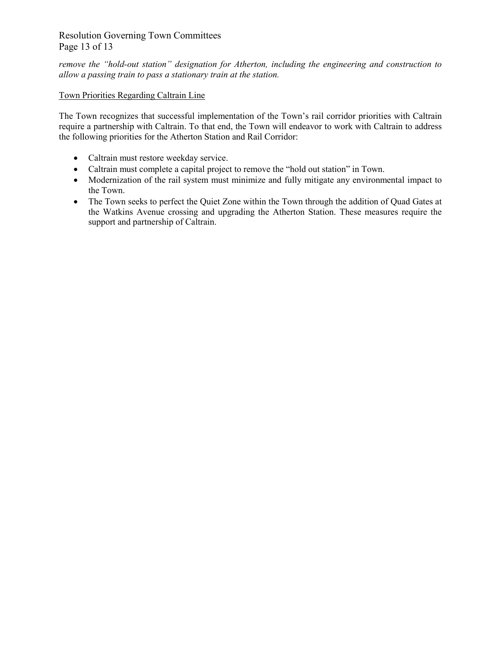## Resolution Governing Town Committees Page 13 of 13

*remove the "hold-out station" designation for Atherton, including the engineering and construction to allow a passing train to pass a stationary train at the station.*

### Town Priorities Regarding Caltrain Line

The Town recognizes that successful implementation of the Town's rail corridor priorities with Caltrain require a partnership with Caltrain. To that end, the Town will endeavor to work with Caltrain to address the following priorities for the Atherton Station and Rail Corridor:

- Caltrain must restore weekday service.
- Caltrain must complete a capital project to remove the "hold out station" in Town.
- Modernization of the rail system must minimize and fully mitigate any environmental impact to the Town.
- The Town seeks to perfect the Quiet Zone within the Town through the addition of Quad Gates at the Watkins Avenue crossing and upgrading the Atherton Station. These measures require the support and partnership of Caltrain.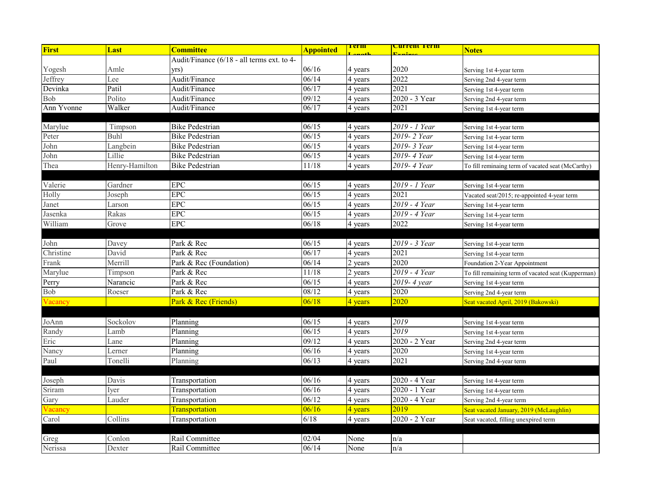| First      | Last           | <b>Committee</b>                           | <b>Appointed</b> | <u>rerm</u> | <mark>Current Term</mark> | <b>Notes</b>                                       |
|------------|----------------|--------------------------------------------|------------------|-------------|---------------------------|----------------------------------------------------|
|            |                | Audit/Finance (6/18 - all terms ext. to 4- |                  |             |                           |                                                    |
| Yogesh     | Amle           | vrs)                                       | 06/16            | 4 years     | 2020                      | Serving 1st 4-year term                            |
| Jeffrey    | Lee            | Audit/Finance                              | 06/14            | 4 years     | $\overline{2022}$         | Serving 2nd 4-year term                            |
| Devinka    | Patil          | Audit/Finance                              | 06/17            | 4 years     | 2021                      | Serving 1st 4-year term                            |
| Bob        | Polito         | Audit/Finance                              | 09/12            | 4 years     | 2020 - 3 Year             | Serving 2nd 4-year term                            |
| Ann Yvonne | Walker         | Audit/Finance                              | 06/17            | 4 years     | 2021                      | Serving 1st 4-year term                            |
|            |                |                                            |                  |             |                           |                                                    |
| Marylue    | Timpson        | Bike Pedestrian                            | 06/15            | 4 years     | 2019 - 1 Year             | Serving 1st 4-year term                            |
| Peter      | Buhl           | <b>Bike Pedestrian</b>                     | 06/15            | 4 years     | 2019-2 Year               | Serving 1st 4-year term                            |
| John       | Langbein       | <b>Bike Pedestrian</b>                     | 06/15            | 4 years     | 2019-3 Year               | Serving 1st 4-year term                            |
| John       | Lillie         | <b>Bike Pedestrian</b>                     | 06/15            | 4 years     | 2019-4 Year               | Serving 1st 4-year term                            |
| Thea       | Henry-Hamilton | <b>Bike Pedestrian</b>                     | 11/18            | 4 years     | 2019-4 Year               | To fill reminaing term of vacated seat (McCarthy)  |
|            |                |                                            |                  |             |                           |                                                    |
| Valerie    | Gardner        | ${\rm EPC}$                                | 06/15            | 4 years     | 2019 - 1 Year             | Serving 1st 4-year term                            |
| Holly      | Joseph         | <b>EPC</b>                                 | 06/15            | 4 years     | 2021                      | Vacated seat/2015; re-appointed 4-year term        |
| Janet      | Larson         | <b>EPC</b>                                 | 06/15            | 4 years     | 2019 - 4 Year             | Serving 1st 4-year term                            |
| Jasenka    | Rakas          | ${\rm EPC}$                                | 06/15            | 4 years     | 2019 - 4 Year             | Serving 1st 4-year term                            |
| William    | Grove          | <b>EPC</b>                                 | 06/18            | 4 years     | 2022                      | Serving 1st 4-year term                            |
|            |                |                                            |                  |             |                           |                                                    |
| John       | Davey          | Park & Rec                                 | 06/15            | 4 years     | 2019 - 3 Year             | Serving 1st 4-year term                            |
| Christine  | David          | Park & Rec                                 | 06/17            | 4 years     | 2021                      | Serving 1st 4-year term                            |
| Frank      | Merrill        | Park & Rec (Foundation)                    | 06/14            | 2 years     | 2020                      | Foundation 2-Year Appointment                      |
| Marylue    | Timpson        | Park & Rec                                 | 11/18            | 2 years     | 2019 - 4 Year             | To fill remaining term of vacated seat (Kupperman) |
| Perry      | Narancic       | Park & Rec                                 | 06/15            | 4 years     | 2019- 4 year              | Serving 1st 4-year term                            |
| Bob        | Roeser         | Park & Rec                                 | 08/12            | 4 years     | 2020                      | Serving 2nd 4-year term                            |
| Vacancy    |                | Park & Rec (Friends)                       | 06/18            | 4 years     | 2020                      | Seat vacated April, 2019 (Bakowski)                |
|            |                |                                            |                  |             |                           |                                                    |
| JoAnn      | Sockolov       | Planning                                   | 06/15            | 4 years     | 2019                      | Serving 1st 4-year term                            |
| Randy      | Lamb           | Planning                                   | 06/15            | 4 years     | 2019                      | Serving 1st 4-year term                            |
| Eric       | Lane           | Planning                                   | 09/12            | 4 years     | 2020 - 2 Year             | Serving 2nd 4-year term                            |
| Nancy      | Lerner         | Planning                                   | 06/16            | 4 years     | 2020                      | Serving 1st 4-year term                            |
| Paul       | Tonelli        | Planning                                   | 06/13            | 4 years     | 2021                      | Serving 2nd 4-year term                            |
|            |                |                                            |                  |             |                           |                                                    |
| Joseph     | Davis          | Transportation                             | 06/16            | 4 years     | 2020 - 4 Year             | Serving 1st 4-year term                            |
| Sriram     | Iver           | Transportation                             | 06/16            | 4 years     | 2020 - 1 Year             | Serving 1st 4-year term                            |
| Gary       | Lauder         | Transportation                             | 06/12            | 4 years     | 2020 - 4 Year             | Serving 2nd 4-year term                            |
| Vacancy    |                | <b>Transportation</b>                      | 06/16            | 4 years     | 2019                      | Seat vacated January, 2019 (McLaughlin)            |
| Carol      | Collins        | Transportation                             | $6/18$           | 4 years     | 2020 - 2 Year             | Seat vacated, filling unexpired term               |
|            |                |                                            |                  |             |                           |                                                    |
| Greg       | Conlon         | Rail Committee                             | 02/04            | None        | n/a                       |                                                    |
| Nerissa    | Dexter         | Rail Committee                             | 06/14            | None        | n/a                       |                                                    |
|            |                |                                            |                  |             |                           |                                                    |